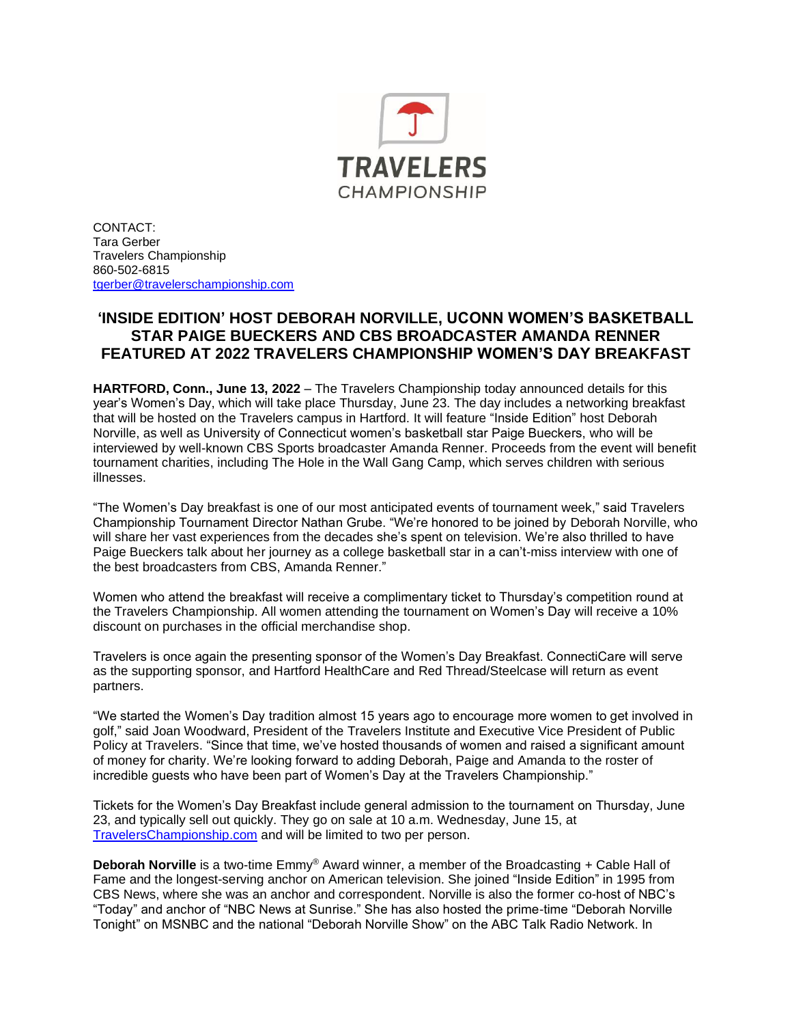

CONTACT: Tara Gerber Travelers Championship 860-502-6815 [tgerber@travelerschampionship.com](mailto:tgerber@travelerschampionship.com)

## **'INSIDE EDITION' HOST DEBORAH NORVILLE, UCONN WOMEN'S BASKETBALL STAR PAIGE BUECKERS AND CBS BROADCASTER AMANDA RENNER FEATURED AT 2022 TRAVELERS CHAMPIONSHIP WOMEN'S DAY BREAKFAST**

**HARTFORD, Conn., June 13, 2022** – The Travelers Championship today announced details for this year's Women's Day, which will take place Thursday, June 23. The day includes a networking breakfast that will be hosted on the Travelers campus in Hartford. It will feature "Inside Edition" host Deborah Norville, as well as University of Connecticut women's basketball star Paige Bueckers, who will be interviewed by well-known CBS Sports broadcaster Amanda Renner. Proceeds from the event will benefit tournament charities, including The Hole in the Wall Gang Camp, which serves children with serious illnesses.

"The Women's Day breakfast is one of our most anticipated events of tournament week," said Travelers Championship Tournament Director Nathan Grube. "We're honored to be joined by Deborah Norville, who will share her vast experiences from the decades she's spent on television. We're also thrilled to have Paige Bueckers talk about her journey as a college basketball star in a can't-miss interview with one of the best broadcasters from CBS, Amanda Renner."

Women who attend the breakfast will receive a complimentary ticket to Thursday's competition round at the Travelers Championship. All women attending the tournament on Women's Day will receive a 10% discount on purchases in the official merchandise shop.

Travelers is once again the presenting sponsor of the Women's Day Breakfast. ConnectiCare will serve as the supporting sponsor, and Hartford HealthCare and Red Thread/Steelcase will return as event partners.

"We started the Women's Day tradition almost 15 years ago to encourage more women to get involved in golf," said Joan Woodward, President of the Travelers Institute and Executive Vice President of Public Policy at Travelers. "Since that time, we've hosted thousands of women and raised a significant amount of money for charity. We're looking forward to adding Deborah, Paige and Amanda to the roster of incredible guests who have been part of Women's Day at the Travelers Championship."

Tickets for the Women's Day Breakfast include general admission to the tournament on Thursday, June 23, and typically sell out quickly. They go on sale at 10 a.m. Wednesday, June 15, at [TravelersChampionship.com](http://www.travelerschampionship.com/) and will be limited to two per person.

**Deborah Norville** is a two-time Emmy® Award winner, a member of the Broadcasting + Cable Hall of Fame and the longest-serving anchor on American television. She joined "Inside Edition" in 1995 from CBS News, where she was an anchor and correspondent. Norville is also the former co-host of NBC's "Today" and anchor of "NBC News at Sunrise." She has also hosted the prime-time "Deborah Norville Tonight" on MSNBC and the national "Deborah Norville Show" on the ABC Talk Radio Network. In